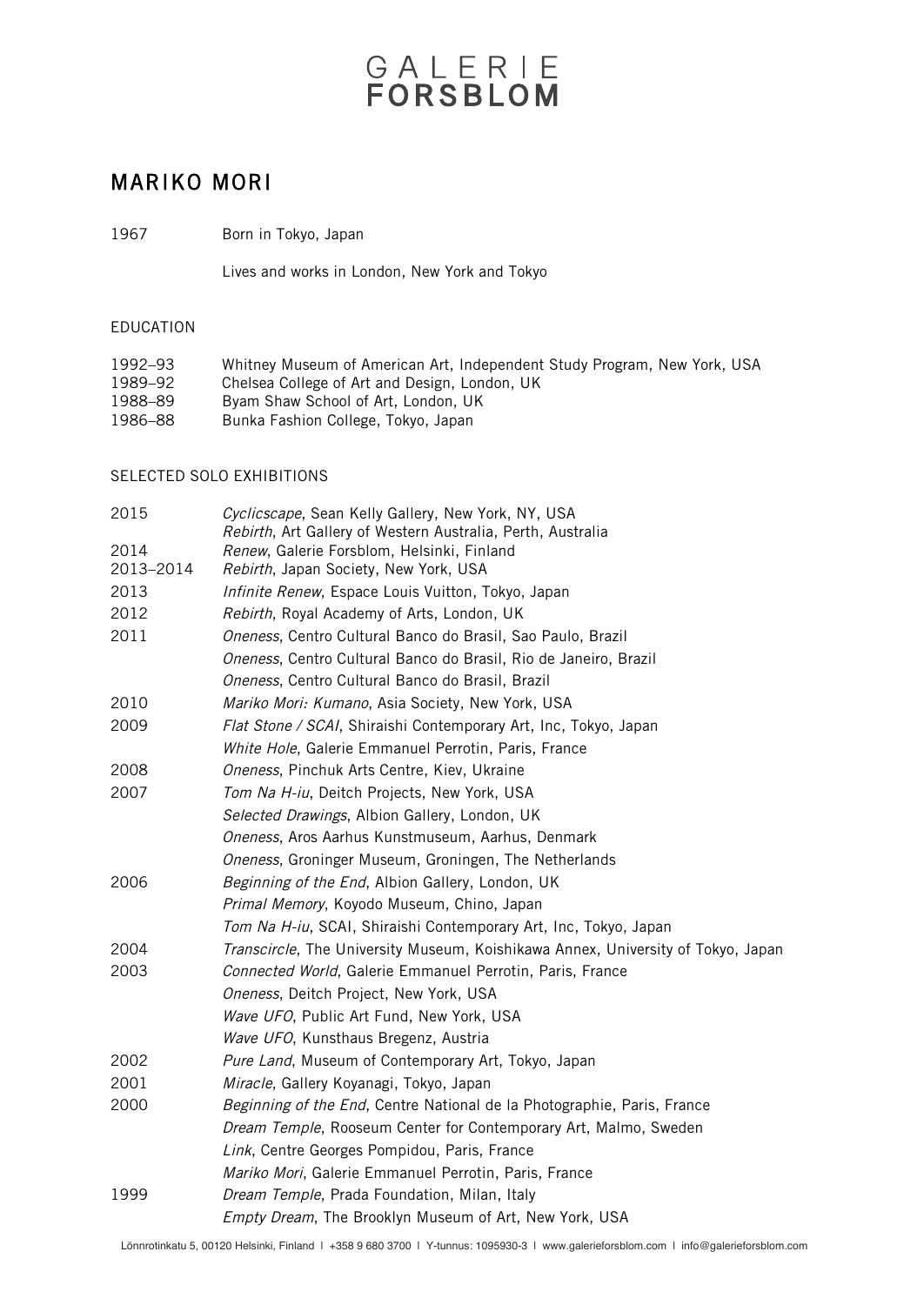# GALERIE

### MARIKO MORI

1967 Born in Tokyo, Japan

Lives and works in London, New York and Tokyo

### EDUCATION

| 1992–93 | Whitney Museum of American Art, Independent Study Program, New York, USA |
|---------|--------------------------------------------------------------------------|
| 1989–92 | Chelsea College of Art and Design, London, UK                            |
| 1988–89 | Byam Shaw School of Art. London. UK                                      |
| 1986–88 | Bunka Fashion College, Tokvo, Japan                                      |

#### SELECTED SOLO EXHIBITIONS

| 2015      | Cyclicscape, Sean Kelly Gallery, New York, NY, USA<br>Rebirth, Art Gallery of Western Australia, Perth, Australia |
|-----------|-------------------------------------------------------------------------------------------------------------------|
| 2014      | Renew, Galerie Forsblom, Helsinki, Finland                                                                        |
| 2013-2014 | Rebirth, Japan Society, New York, USA                                                                             |
| 2013      | Infinite Renew, Espace Louis Vuitton, Tokyo, Japan                                                                |
| 2012      | Rebirth, Royal Academy of Arts, London, UK                                                                        |
| 2011      | Oneness, Centro Cultural Banco do Brasil, Sao Paulo, Brazil                                                       |
|           | Oneness, Centro Cultural Banco do Brasil, Rio de Janeiro, Brazil                                                  |
|           | Oneness, Centro Cultural Banco do Brasil, Brazil                                                                  |
| 2010      | Mariko Mori: Kumano, Asia Society, New York, USA                                                                  |
| 2009      | Flat Stone / SCAI, Shiraishi Contemporary Art, Inc, Tokyo, Japan                                                  |
|           | White Hole, Galerie Emmanuel Perrotin, Paris, France                                                              |
| 2008      | Oneness, Pinchuk Arts Centre, Kiev, Ukraine                                                                       |
| 2007      | Tom Na H-iu, Deitch Projects, New York, USA                                                                       |
|           | Selected Drawings, Albion Gallery, London, UK                                                                     |
|           | Oneness, Aros Aarhus Kunstmuseum, Aarhus, Denmark                                                                 |
|           | Oneness, Groninger Museum, Groningen, The Netherlands                                                             |
| 2006      | Beginning of the End, Albion Gallery, London, UK                                                                  |
|           | Primal Memory, Koyodo Museum, Chino, Japan                                                                        |
|           | Tom Na H-iu, SCAI, Shiraishi Contemporary Art, Inc, Tokyo, Japan                                                  |
| 2004      | Transcircle, The University Museum, Koishikawa Annex, University of Tokyo, Japan                                  |
| 2003      | Connected World, Galerie Emmanuel Perrotin, Paris, France                                                         |
|           | Oneness, Deitch Project, New York, USA                                                                            |
|           | Wave UFO, Public Art Fund, New York, USA                                                                          |
|           | Wave UFO, Kunsthaus Bregenz, Austria                                                                              |
| 2002      | Pure Land, Museum of Contemporary Art, Tokyo, Japan                                                               |
| 2001      | Miracle, Gallery Koyanagi, Tokyo, Japan                                                                           |
| 2000      | Beginning of the End, Centre National de la Photographie, Paris, France                                           |
|           | Dream Temple, Rooseum Center for Contemporary Art, Malmo, Sweden                                                  |
|           | Link, Centre Georges Pompidou, Paris, France                                                                      |
|           | Mariko Mori, Galerie Emmanuel Perrotin, Paris, France                                                             |
| 1999      | Dream Temple, Prada Foundation, Milan, Italy                                                                      |
|           | Empty Dream, The Brooklyn Museum of Art, New York, USA                                                            |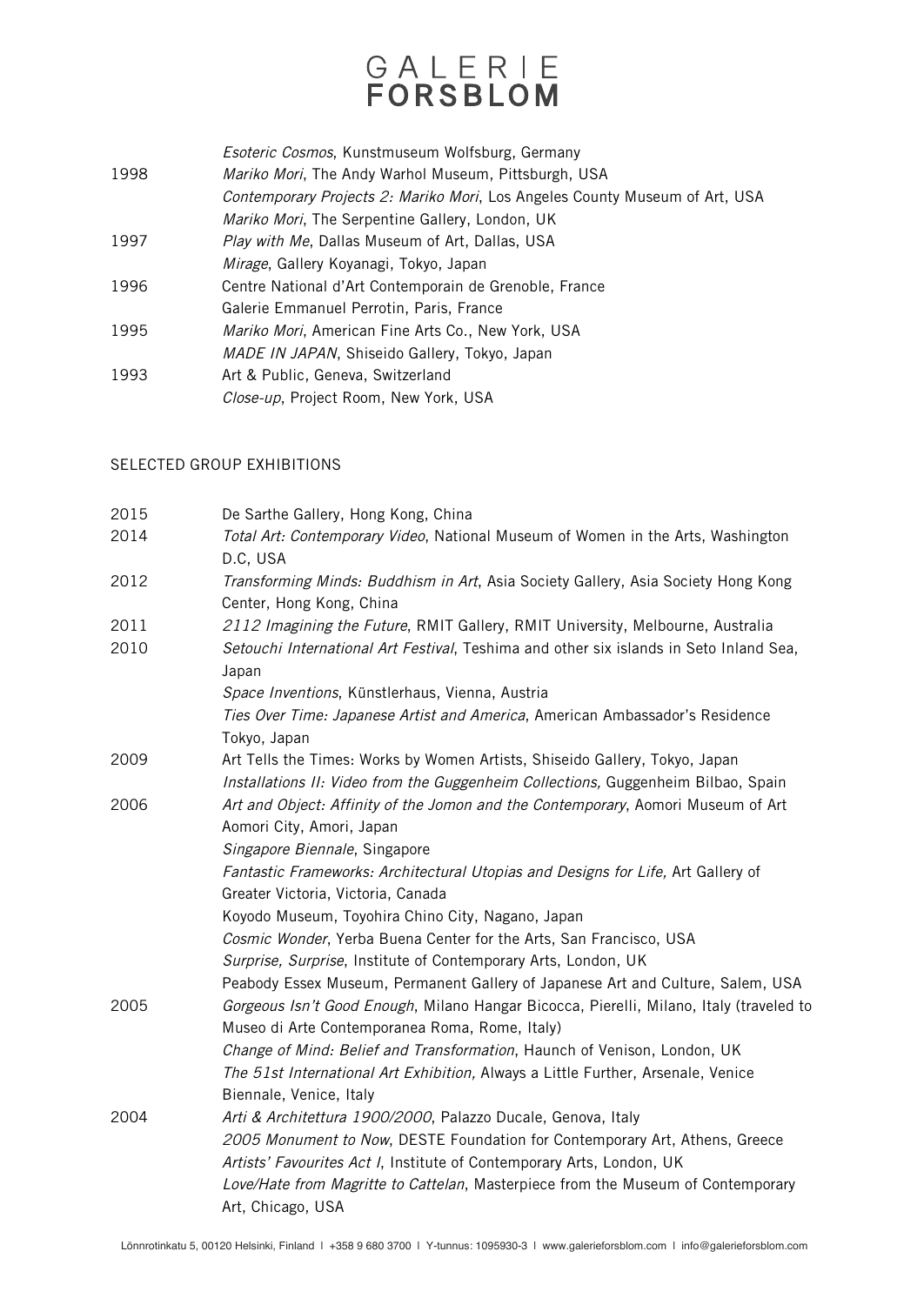# GALERIE

Esoteric Cosmos, Kunstmuseum Wolfsburg, Germany

- 1998 Mariko Mori, The Andy Warhol Museum, Pittsburgh, USA Contemporary Projects 2: Mariko Mori, Los Angeles County Museum of Art, USA Mariko Mori, The Serpentine Gallery, London, UK
- 1997 Play with Me, Dallas Museum of Art, Dallas, USA
- Mirage, Gallery Koyanagi, Tokyo, Japan
- 1996 Centre National d'Art Contemporain de Grenoble, France
- Galerie Emmanuel Perrotin, Paris, France
- 1995 Mariko Mori, American Fine Arts Co., New York, USA
- MADE IN JAPAN, Shiseido Gallery, Tokyo, Japan 1993 Art & Public, Geneva, Switzerland
	- Close-up, Project Room, New York, USA

### SELECTED GROUP EXHIBITIONS

| 2015 | De Sarthe Gallery, Hong Kong, China                                                                                                                                                                                          |
|------|------------------------------------------------------------------------------------------------------------------------------------------------------------------------------------------------------------------------------|
| 2014 | Total Art: Contemporary Video, National Museum of Women in the Arts, Washington<br>D.C, USA                                                                                                                                  |
| 2012 | Transforming Minds: Buddhism in Art, Asia Society Gallery, Asia Society Hong Kong<br>Center, Hong Kong, China                                                                                                                |
| 2011 | 2112 Imagining the Future, RMIT Gallery, RMIT University, Melbourne, Australia                                                                                                                                               |
| 2010 | Setouchi International Art Festival, Teshima and other six islands in Seto Inland Sea,<br>Japan                                                                                                                              |
|      | Space Inventions, Künstlerhaus, Vienna, Austria                                                                                                                                                                              |
|      | Ties Over Time: Japanese Artist and America, American Ambassador's Residence<br>Tokyo, Japan                                                                                                                                 |
| 2009 | Art Tells the Times: Works by Women Artists, Shiseido Gallery, Tokyo, Japan<br>Installations II: Video from the Guggenheim Collections, Guggenheim Bilbao, Spain                                                             |
| 2006 | Art and Object: Affinity of the Jomon and the Contemporary, Aomori Museum of Art<br>Aomori City, Amori, Japan                                                                                                                |
|      | Singapore Biennale, Singapore                                                                                                                                                                                                |
|      | Fantastic Frameworks: Architectural Utopias and Designs for Life, Art Gallery of                                                                                                                                             |
|      | Greater Victoria, Victoria, Canada                                                                                                                                                                                           |
|      | Koyodo Museum, Toyohira Chino City, Nagano, Japan                                                                                                                                                                            |
|      | Cosmic Wonder, Yerba Buena Center for the Arts, San Francisco, USA                                                                                                                                                           |
|      | Surprise, Surprise, Institute of Contemporary Arts, London, UK                                                                                                                                                               |
| 2005 | Peabody Essex Museum, Permanent Gallery of Japanese Art and Culture, Salem, USA<br>Gorgeous Isn't Good Enough, Milano Hangar Bicocca, Pierelli, Milano, Italy (traveled to<br>Museo di Arte Contemporanea Roma, Rome, Italy) |
|      | Change of Mind: Belief and Transformation, Haunch of Venison, London, UK                                                                                                                                                     |
|      | The 51st International Art Exhibition, Always a Little Further, Arsenale, Venice                                                                                                                                             |
|      | Biennale, Venice, Italy                                                                                                                                                                                                      |
| 2004 | Arti & Architettura 1900/2000, Palazzo Ducale, Genova, Italy                                                                                                                                                                 |
|      | 2005 Monument to Now, DESTE Foundation for Contemporary Art, Athens, Greece                                                                                                                                                  |
|      | Artists' Favourites Act I, Institute of Contemporary Arts, London, UK                                                                                                                                                        |
|      | Love/Hate from Magritte to Cattelan, Masterpiece from the Museum of Contemporary                                                                                                                                             |
|      | Art, Chicago, USA                                                                                                                                                                                                            |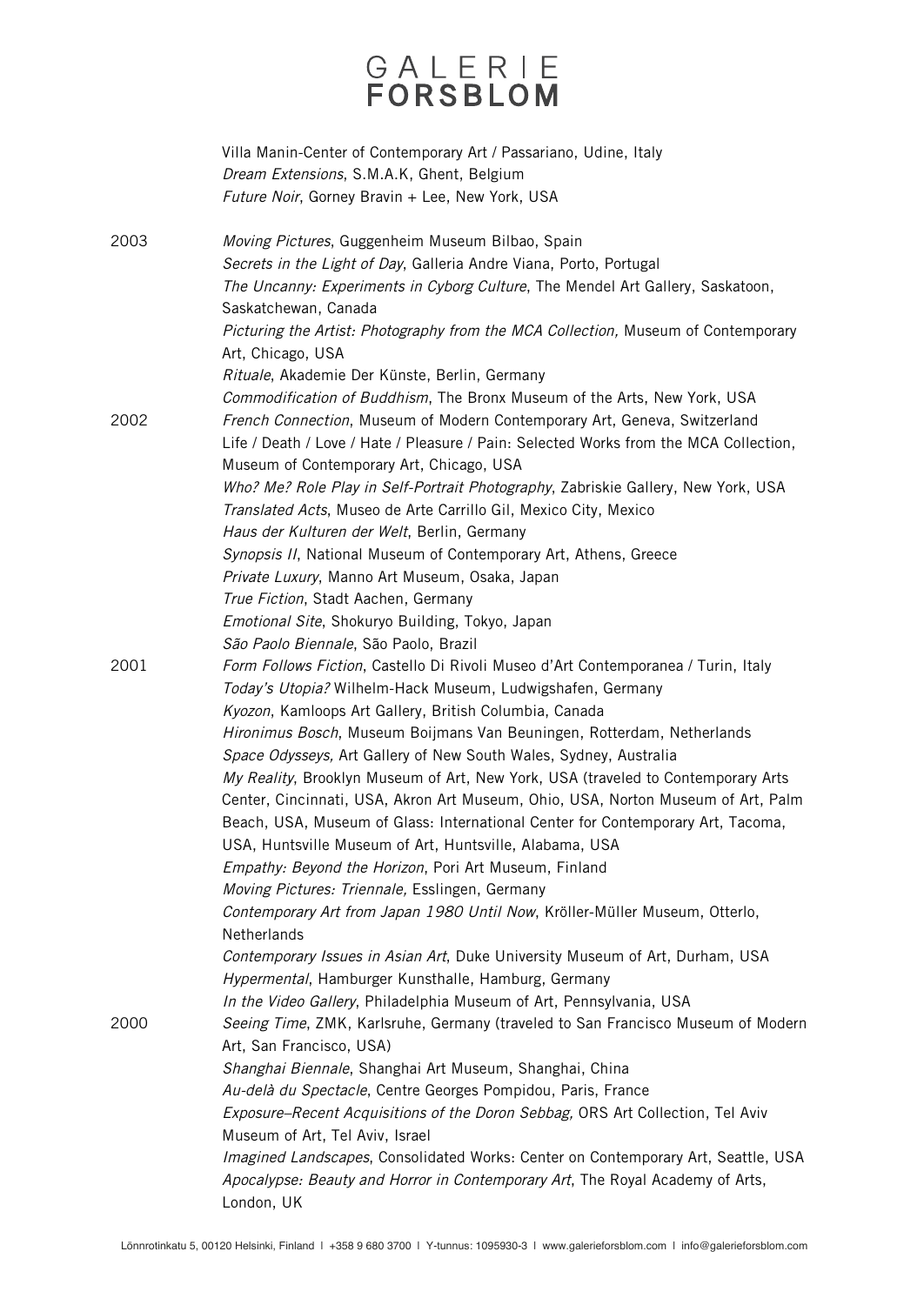# GALERIE

|      | Villa Manin-Center of Contemporary Art / Passariano, Udine, Italy<br>Dream Extensions, S.M.A.K, Ghent, Belgium<br>Future Noir, Gorney Bravin + Lee, New York, USA                                        |
|------|----------------------------------------------------------------------------------------------------------------------------------------------------------------------------------------------------------|
| 2003 | Moving Pictures, Guggenheim Museum Bilbao, Spain<br>Secrets in the Light of Day, Galleria Andre Viana, Porto, Portugal<br>The Uncanny: Experiments in Cyborg Culture, The Mendel Art Gallery, Saskatoon, |
|      | Saskatchewan, Canada<br>Picturing the Artist: Photography from the MCA Collection, Museum of Contemporary<br>Art, Chicago, USA                                                                           |
|      | Rituale, Akademie Der Künste, Berlin, Germany<br>Commodification of Buddhism, The Bronx Museum of the Arts, New York, USA                                                                                |
| 2002 | French Connection, Museum of Modern Contemporary Art, Geneva, Switzerland<br>Life / Death / Love / Hate / Pleasure / Pain: Selected Works from the MCA Collection,                                       |
|      | Museum of Contemporary Art, Chicago, USA<br>Who? Me? Role Play in Self-Portrait Photography, Zabriskie Gallery, New York, USA<br>Translated Acts, Museo de Arte Carrillo Gil, Mexico City, Mexico        |
|      | Haus der Kulturen der Welt, Berlin, Germany                                                                                                                                                              |
|      | Synopsis II, National Museum of Contemporary Art, Athens, Greece                                                                                                                                         |
|      | Private Luxury, Manno Art Museum, Osaka, Japan<br>True Fiction, Stadt Aachen, Germany                                                                                                                    |
|      | Emotional Site, Shokuryo Building, Tokyo, Japan                                                                                                                                                          |
|      | São Paolo Biennale, São Paolo, Brazil                                                                                                                                                                    |
| 2001 | Form Follows Fiction, Castello Di Rivoli Museo d'Art Contemporanea / Turin, Italy<br>Today's Utopia? Wilhelm-Hack Museum, Ludwigshafen, Germany                                                          |
|      | Kyozon, Kamloops Art Gallery, British Columbia, Canada                                                                                                                                                   |
|      | Hironimus Bosch, Museum Boijmans Van Beuningen, Rotterdam, Netherlands<br>Space Odysseys, Art Gallery of New South Wales, Sydney, Australia                                                              |
|      | My Reality, Brooklyn Museum of Art, New York, USA (traveled to Contemporary Arts                                                                                                                         |
|      | Center, Cincinnati, USA, Akron Art Museum, Ohio, USA, Norton Museum of Art, Palm<br>Beach, USA, Museum of Glass: International Center for Contemporary Art, Tacoma,                                      |
|      | USA, Huntsville Museum of Art, Huntsville, Alabama, USA                                                                                                                                                  |
|      | Empathy: Beyond the Horizon, Pori Art Museum, Finland                                                                                                                                                    |
|      | Moving Pictures: Triennale, Esslingen, Germany<br>Contemporary Art from Japan 1980 Until Now, Kröller-Müller Museum, Otterlo,                                                                            |
|      | Netherlands                                                                                                                                                                                              |
|      | Contemporary Issues in Asian Art, Duke University Museum of Art, Durham, USA                                                                                                                             |
|      | Hypermental, Hamburger Kunsthalle, Hamburg, Germany                                                                                                                                                      |
|      | In the Video Gallery, Philadelphia Museum of Art, Pennsylvania, USA                                                                                                                                      |
| 2000 | Seeing Time, ZMK, Karlsruhe, Germany (traveled to San Francisco Museum of Modern                                                                                                                         |
|      | Art, San Francisco, USA)<br>Shanghai Biennale, Shanghai Art Museum, Shanghai, China                                                                                                                      |
|      | Au-delà du Spectacle, Centre Georges Pompidou, Paris, France                                                                                                                                             |
|      | Exposure-Recent Acquisitions of the Doron Sebbag, ORS Art Collection, Tel Aviv                                                                                                                           |
|      | Museum of Art, Tel Aviv, Israel                                                                                                                                                                          |
|      | Imagined Landscapes, Consolidated Works: Center on Contemporary Art, Seattle, USA                                                                                                                        |
|      | Apocalypse: Beauty and Horror in Contemporary Art, The Royal Academy of Arts,<br>London, UK                                                                                                              |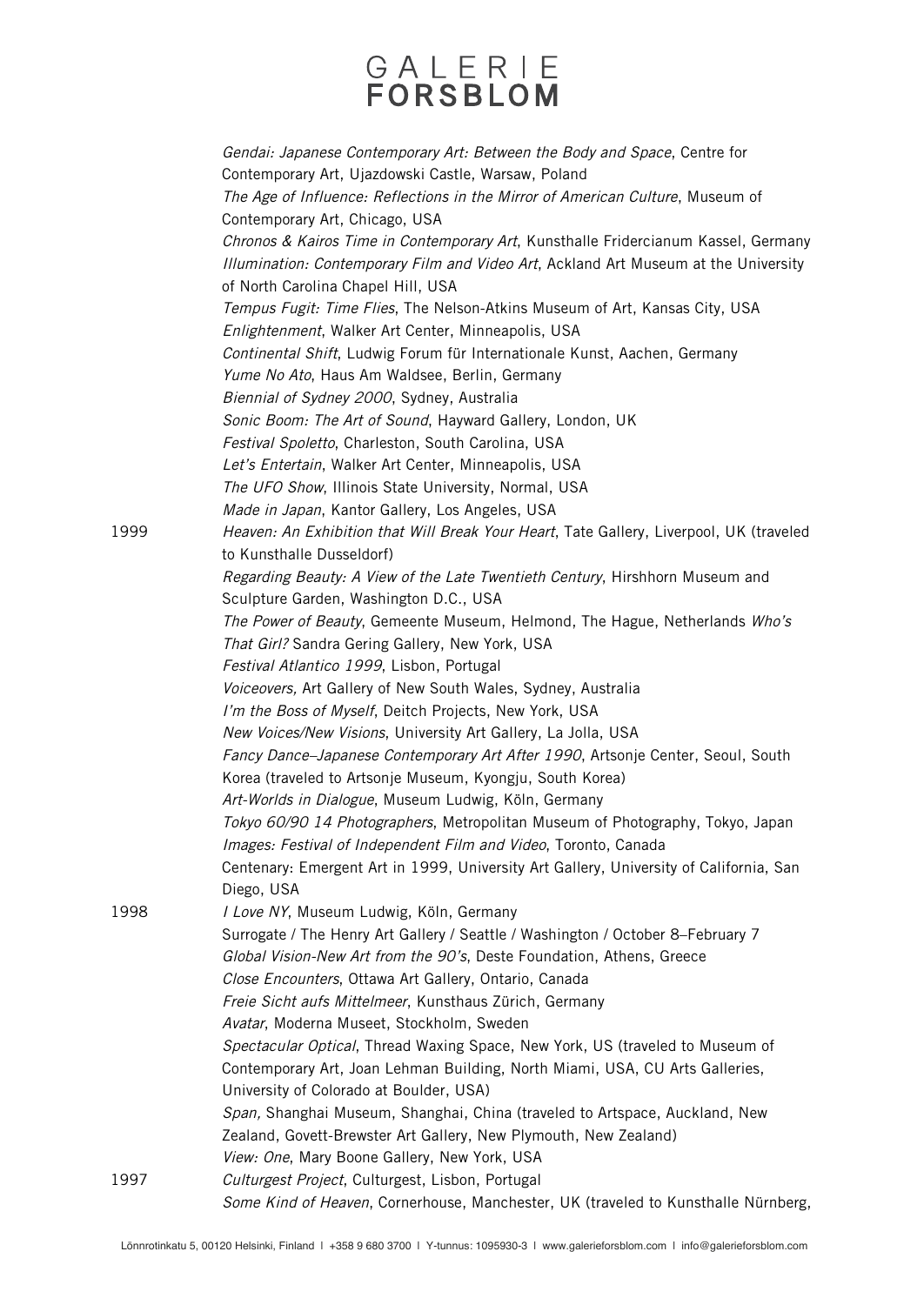### GALERIE **FORSBLOM**

Gendai: Japanese Contemporary Art: Between the Body and Space, Centre for Contemporary Art, Ujazdowski Castle, Warsaw, Poland The Age of Influence: Reflections in the Mirror of American Culture, Museum of Contemporary Art, Chicago, USA Chronos & Kairos Time in Contemporary Art, Kunsthalle Fridercianum Kassel, Germany Illumination: Contemporary Film and Video Art, Ackland Art Museum at the University of North Carolina Chapel Hill, USA Tempus Fugit: Time Flies, The Nelson-Atkins Museum of Art, Kansas City, USA Enlightenment, Walker Art Center, Minneapolis, USA Continental Shift, Ludwig Forum für Internationale Kunst, Aachen, Germany Yume No Ato, Haus Am Waldsee, Berlin, Germany Biennial of Sydney 2000, Sydney, Australia Sonic Boom: The Art of Sound, Hayward Gallery, London, UK Festival Spoletto, Charleston, South Carolina, USA Let's Entertain, Walker Art Center, Minneapolis, USA The UFO Show, Illinois State University, Normal, USA Made in Japan, Kantor Gallery, Los Angeles, USA 1999 Heaven: An Exhibition that Will Break Your Heart, Tate Gallery, Liverpool, UK (traveled to Kunsthalle Dusseldorf) Regarding Beauty: A View of the Late Twentieth Century, Hirshhorn Museum and Sculpture Garden, Washington D.C., USA The Power of Beauty, Gemeente Museum, Helmond, The Hague, Netherlands Who's That Girl? Sandra Gering Gallery, New York, USA Festival Atlantico 1999, Lisbon, Portugal Voiceovers, Art Gallery of New South Wales, Sydney, Australia I'm the Boss of Myself, Deitch Projects, New York, USA New Voices/New Visions, University Art Gallery, La Jolla, USA Fancy Dance–Japanese Contemporary Art After 1990, Artsonje Center, Seoul, South Korea (traveled to Artsonje Museum, Kyongju, South Korea) Art-Worlds in Dialogue, Museum Ludwig, Köln, Germany Tokyo 60/90 14 Photographers, Metropolitan Museum of Photography, Tokyo, Japan Images: Festival of Independent Film and Video, Toronto, Canada Centenary: Emergent Art in 1999, University Art Gallery, University of California, San Diego, USA 1998 I Love NY, Museum Ludwig, Köln, Germany Surrogate / The Henry Art Gallery / Seattle / Washington / October 8–February 7 Global Vision-New Art from the 90's, Deste Foundation, Athens, Greece Close Encounters, Ottawa Art Gallery, Ontario, Canada Freie Sicht aufs Mittelmeer, Kunsthaus Zürich, Germany Avatar, Moderna Museet, Stockholm, Sweden Spectacular Optical, Thread Waxing Space, New York, US (traveled to Museum of Contemporary Art, Joan Lehman Building, North Miami, USA, CU Arts Galleries, University of Colorado at Boulder, USA) Span, Shanghai Museum, Shanghai, China (traveled to Artspace, Auckland, New Zealand, Govett-Brewster Art Gallery, New Plymouth, New Zealand) View: One, Mary Boone Gallery, New York, USA 1997 Culturgest Project, Culturgest, Lisbon, Portugal Some Kind of Heaven, Cornerhouse, Manchester, UK (traveled to Kunsthalle Nürnberg,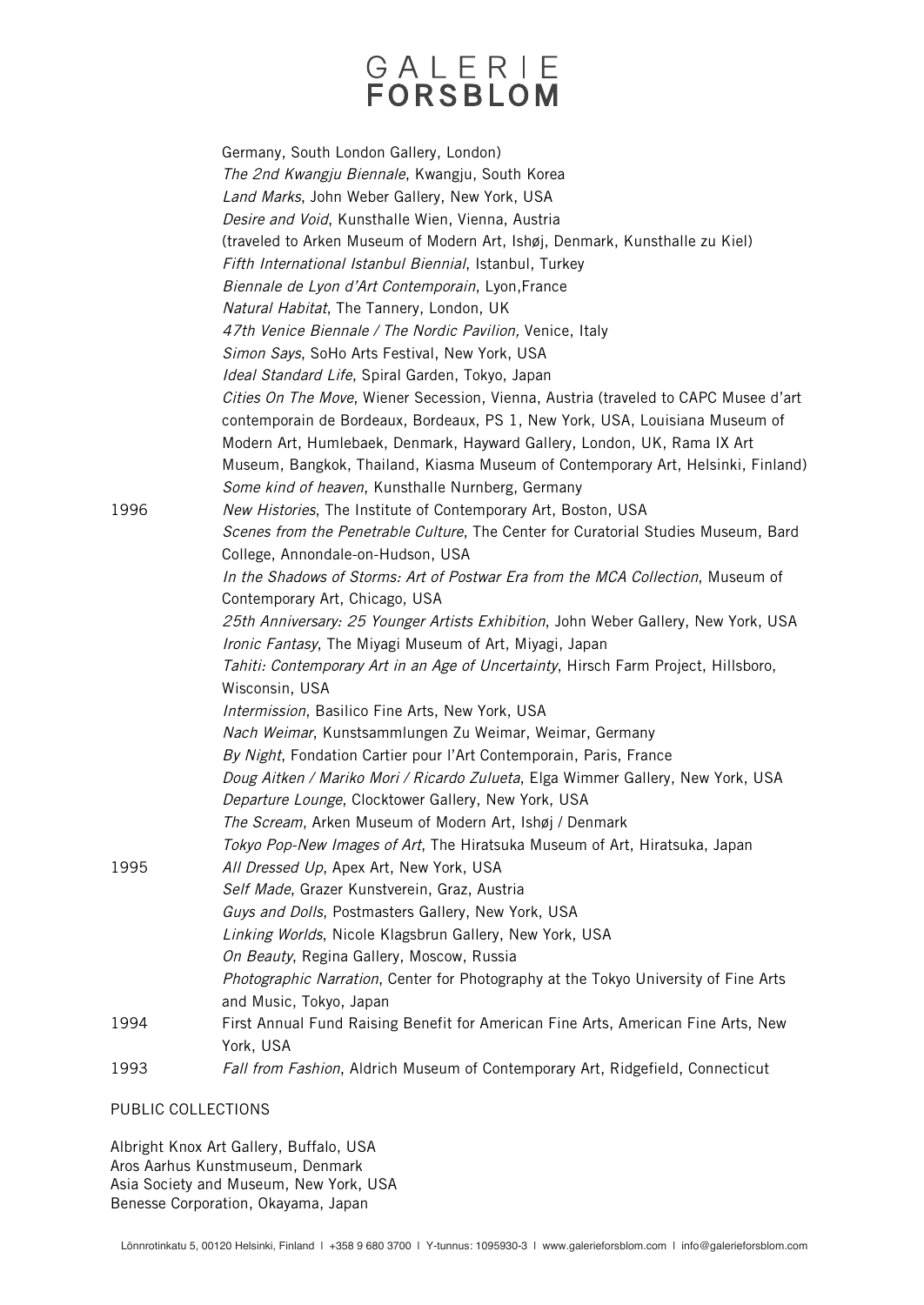### GALERIE **FORSBLOM**

Germany, South London Gallery, London) The 2nd Kwangju Biennale, Kwangju, South Korea Land Marks, John Weber Gallery, New York, USA Desire and Void, Kunsthalle Wien, Vienna, Austria (traveled to Arken Museum of Modern Art, Ishøj, Denmark, Kunsthalle zu Kiel) Fifth International Istanbul Biennial, Istanbul, Turkey Biennale de Lyon d'Art Contemporain, Lyon,France Natural Habitat, The Tannery, London, UK 47th Venice Biennale / The Nordic Pavilion, Venice, Italy Simon Says, SoHo Arts Festival, New York, USA Ideal Standard Life, Spiral Garden, Tokyo, Japan Cities On The Move, Wiener Secession, Vienna, Austria (traveled to CAPC Musee d'art contemporain de Bordeaux, Bordeaux, PS 1, New York, USA, Louisiana Museum of Modern Art, Humlebaek, Denmark, Hayward Gallery, London, UK, Rama IX Art Museum, Bangkok, Thailand, Kiasma Museum of Contemporary Art, Helsinki, Finland) Some kind of heaven, Kunsthalle Nurnberg, Germany 1996 New Histories, The Institute of Contemporary Art, Boston, USA Scenes from the Penetrable Culture, The Center for Curatorial Studies Museum, Bard College, Annondale-on-Hudson, USA In the Shadows of Storms: Art of Postwar Era from the MCA Collection, Museum of Contemporary Art, Chicago, USA 25th Anniversary: 25 Younger Artists Exhibition, John Weber Gallery, New York, USA Ironic Fantasy, The Miyagi Museum of Art, Miyagi, Japan Tahiti: Contemporary Art in an Age of Uncertainty, Hirsch Farm Project, Hillsboro, Wisconsin, USA Intermission, Basilico Fine Arts, New York, USA Nach Weimar, Kunstsammlungen Zu Weimar, Weimar, Germany By Night, Fondation Cartier pour l'Art Contemporain, Paris, France Doug Aitken / Mariko Mori / Ricardo Zulueta, Elga Wimmer Gallery, New York, USA Departure Lounge, Clocktower Gallery, New York, USA The Scream, Arken Museum of Modern Art, Ishøj / Denmark Tokyo Pop-New Images of Art, The Hiratsuka Museum of Art, Hiratsuka, Japan 1995 All Dressed Up, Apex Art, New York, USA Self Made, Grazer Kunstverein, Graz, Austria Guys and Dolls, Postmasters Gallery, New York, USA Linking Worlds, Nicole Klagsbrun Gallery, New York, USA On Beauty, Regina Gallery, Moscow, Russia Photographic Narration, Center for Photography at the Tokyo University of Fine Arts and Music, Tokyo, Japan 1994 First Annual Fund Raising Benefit for American Fine Arts, American Fine Arts, New York, USA 1993 *Fall from Fashion*, Aldrich Museum of Contemporary Art, Ridgefield, Connecticut

#### PUBLIC COLLECTIONS

Albright Knox Art Gallery, Buffalo, USA Aros Aarhus Kunstmuseum, Denmark Asia Society and Museum, New York, USA Benesse Corporation, Okayama, Japan